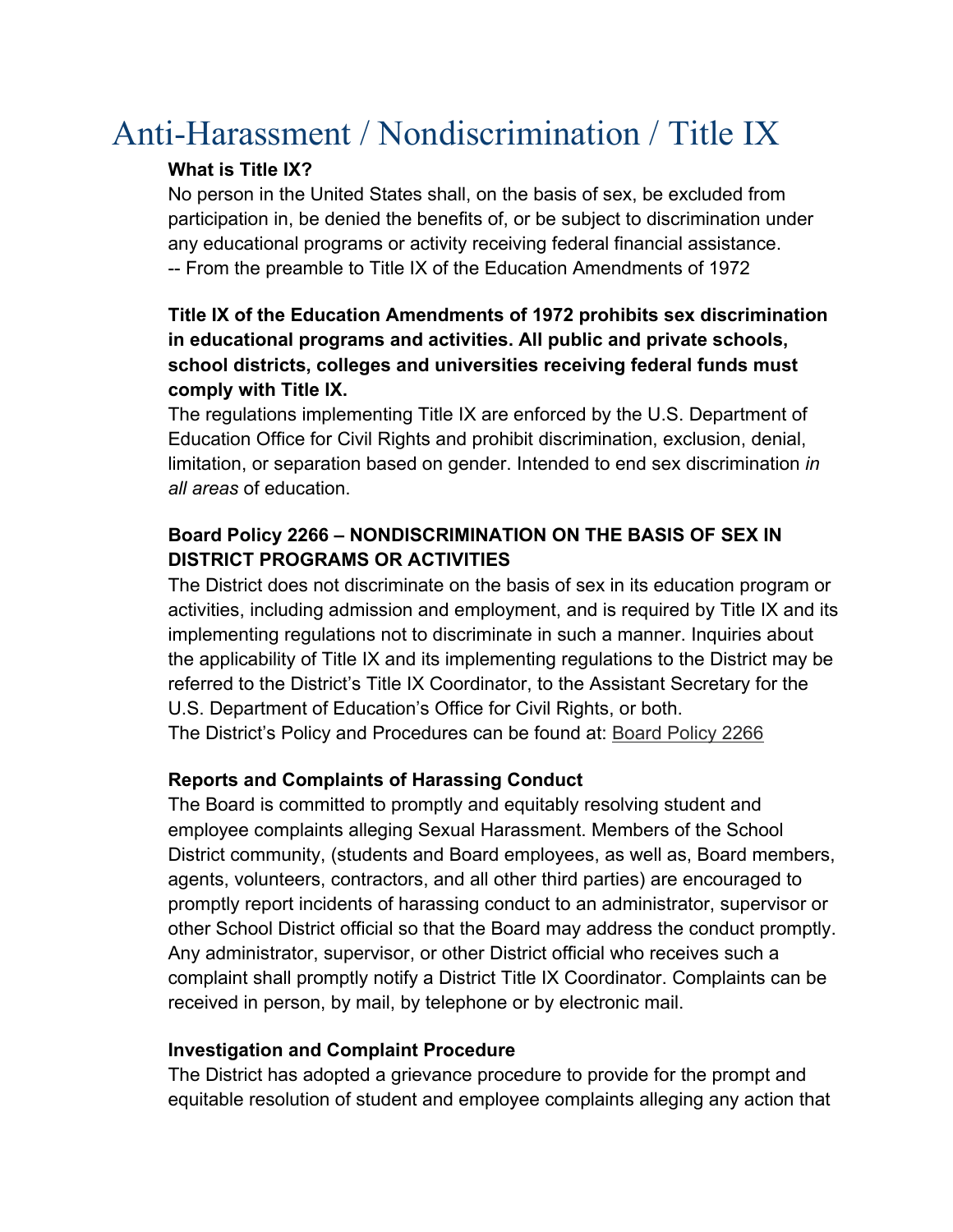# Anti-Harassment / Nondiscrimination / Title IX

### **What is Title IX?**

No person in the United States shall, on the basis of sex, be excluded from participation in, be denied the benefits of, or be subject to discrimination under any educational programs or activity receiving federal financial assistance. -- From the preamble to Title IX of the Education Amendments of 1972

## **Title IX of the Education Amendments of 1972 prohibits sex discrimination in educational programs and activities. All public and private schools, school districts, colleges and universities receiving federal funds must comply with Title IX.**

The regulations implementing Title IX are enforced by the U.S. Department of Education Office for Civil Rights and prohibit discrimination, exclusion, denial, limitation, or separation based on gender. Intended to end sex discrimination *in all areas* of education.

## **Board Policy 2266 – NONDISCRIMINATION ON THE BASIS OF SEX IN DISTRICT PROGRAMS OR ACTIVITIES**

The District does not discriminate on the basis of sex in its education program or activities, including admission and employment, and is required by Title IX and its implementing regulations not to discriminate in such a manner. Inquiries about the applicability of Title IX and its implementing regulations to the District may be referred to the District's Title IX Coordinator, to the Assistant Secretary for the U.S. Department of Education's Office for Civil Rights, or both. The District's Policy and Procedures can be found at: [Board Policy 2266](https://www.dropbox.com/s/4yrylx0mcyx9ixk/Solon%20CSD%20BP%202266.pdf?dl=0)

## **Reports and Complaints of Harassing Conduct**

The Board is committed to promptly and equitably resolving student and employee complaints alleging Sexual Harassment. Members of the School District community, (students and Board employees, as well as, Board members, agents, volunteers, contractors, and all other third parties) are encouraged to promptly report incidents of harassing conduct to an administrator, supervisor or other School District official so that the Board may address the conduct promptly. Any administrator, supervisor, or other District official who receives such a complaint shall promptly notify a District Title IX Coordinator. Complaints can be received in person, by mail, by telephone or by electronic mail.

### **Investigation and Complaint Procedure**

The District has adopted a grievance procedure to provide for the prompt and equitable resolution of student and employee complaints alleging any action that